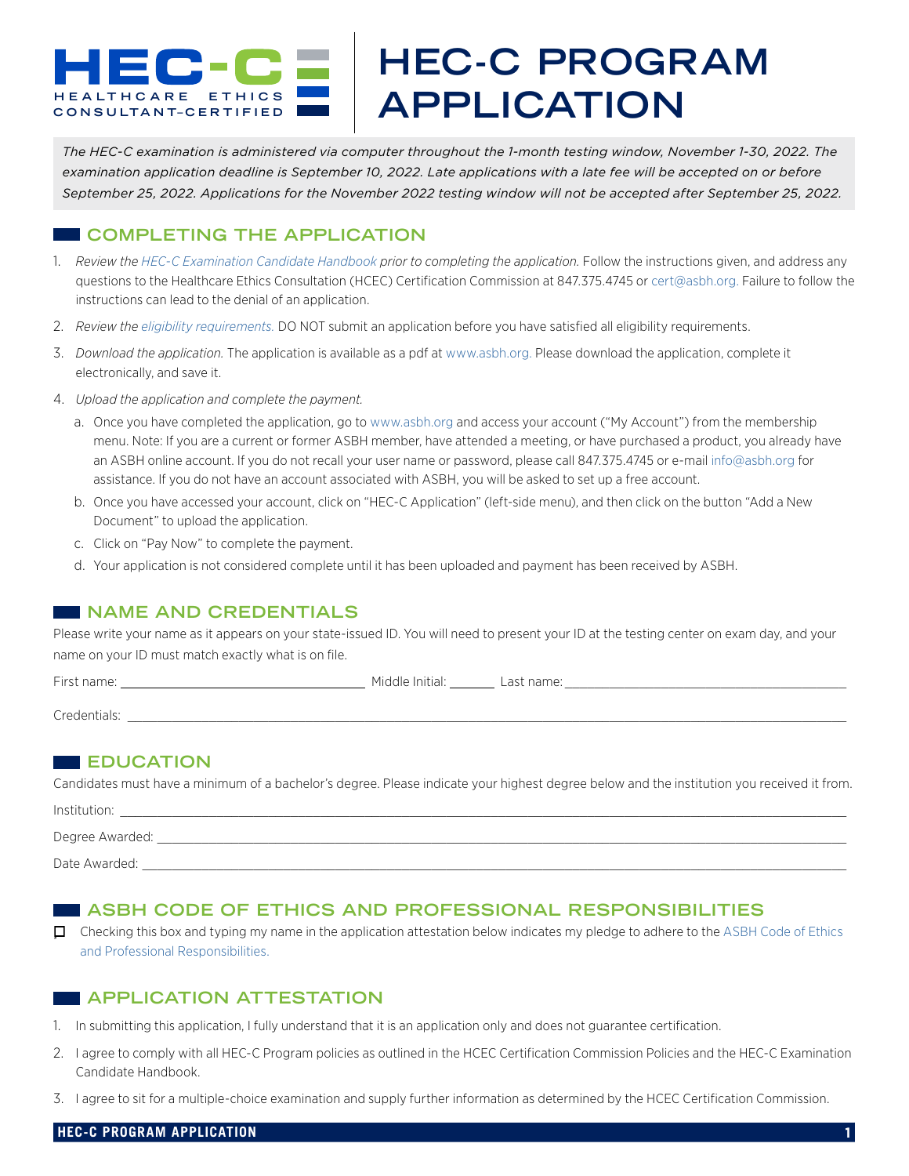# **HEAL THCARE ETHICS CONSULT ANT– CERTIFIED HEC-C PROGRAM APPLICATION**

*The HEC-C examination is administered via computer throughout the 1-month testing window, November 1-30, 2022. The examination application deadline is September 10, 2022. Late applications with a late fee will be accepted on or before September 25, 2022. Applications for the November 2022 testing window will not be accepted after September 25, 2022.*

# **COMPLETING THE APPLICATION**

- 1. *Review the [HEC-C Examination Candidate Handbook](https://heccertification.org/images/PDFs/Handbook_November_2021.pdf) prior to completing the application.* Follow the instructions given, and address any questions to the Healthcare Ethics Consultation (HCEC) Certification Commission at 847.375.4745 or [cert@asbh.org](mailto:cert%40asbh.org?subject=). Failure to follow the instructions can lead to the denial of an application.
- 2. *Review the [eligibility requirements.](https://heccertification.org/exam/eligibility.)* DO NOT submit an application before you have satisfied all eligibility requirements.
- 3. *Download the application.* The application is available as a pdf at [www.asbh.org.](www.asbh.org) Please download the application, complete it electronically, and save it.
- 4. *Upload the application and complete the payment.*
	- a. Once you have completed the application, go to [www.asbh.org](http://www.asbh.org) and access your account ("My Account") from the membership menu. Note: If you are a current or former ASBH member, have attended a meeting, or have purchased a product, you already have an ASBH online account. If you do not recall your user name or password, please call 847.375.4745 or e-mail [info@asbh.org](mailto:info%40asbh.org?subject=) for assistance. If you do not have an account associated with ASBH, you will be asked to set up a free account.
	- b. Once you have accessed your account, click on "HEC-C Application" (left-side menu), and then click on the button "Add a New Document" to upload the application.
	- c. Click on "Pay Now" to complete the payment.
	- d. Your application is not considered complete until it has been uploaded and payment has been received by ASBH.

# **NAME AND CREDENTIALS**

Please write your name as it appears on your state-issued ID. You will need to present your ID at the testing center on exam day, and your name on your ID must match exactly what is on file.

| First name:  | Middle Initial: | Last name: |
|--------------|-----------------|------------|
| Credentials: |                 |            |

# **EDUCATION**

Candidates must have a minimum of a bachelor's degree. Please indicate your highest degree below and the institution you received it from.

| Institution:      |  |
|-------------------|--|
| Degree Awarded: _ |  |
| Date Awarded:     |  |

# **ASBH CODE OF ETHICS AND PROFESSIONAL RESPONSIBILITIES**

 Checking this box and typing my name in the application attestation below indicates my pledge to adhere to the [ASBH Code of Ethics](http://asbh.org/uploads/ASBH_Code_of_Ethics.pdf)  [and Professional Responsibilities.](http://asbh.org/uploads/ASBH_Code_of_Ethics.pdf)

# **APPLICATION ATTESTATION**

1. In submitting this application, I fully understand that it is an application only and does not guarantee certification.

- 2. I agree to comply with all HEC-C Program policies as outlined in the HCEC Certification Commission Policies and the HEC-C Examination Candidate Handbook.
- 3. I agree to sit for a multiple-choice examination and supply further information as determined by the HCEC Certification Commission.

### **HEC-C PROGRAM APPLICATION**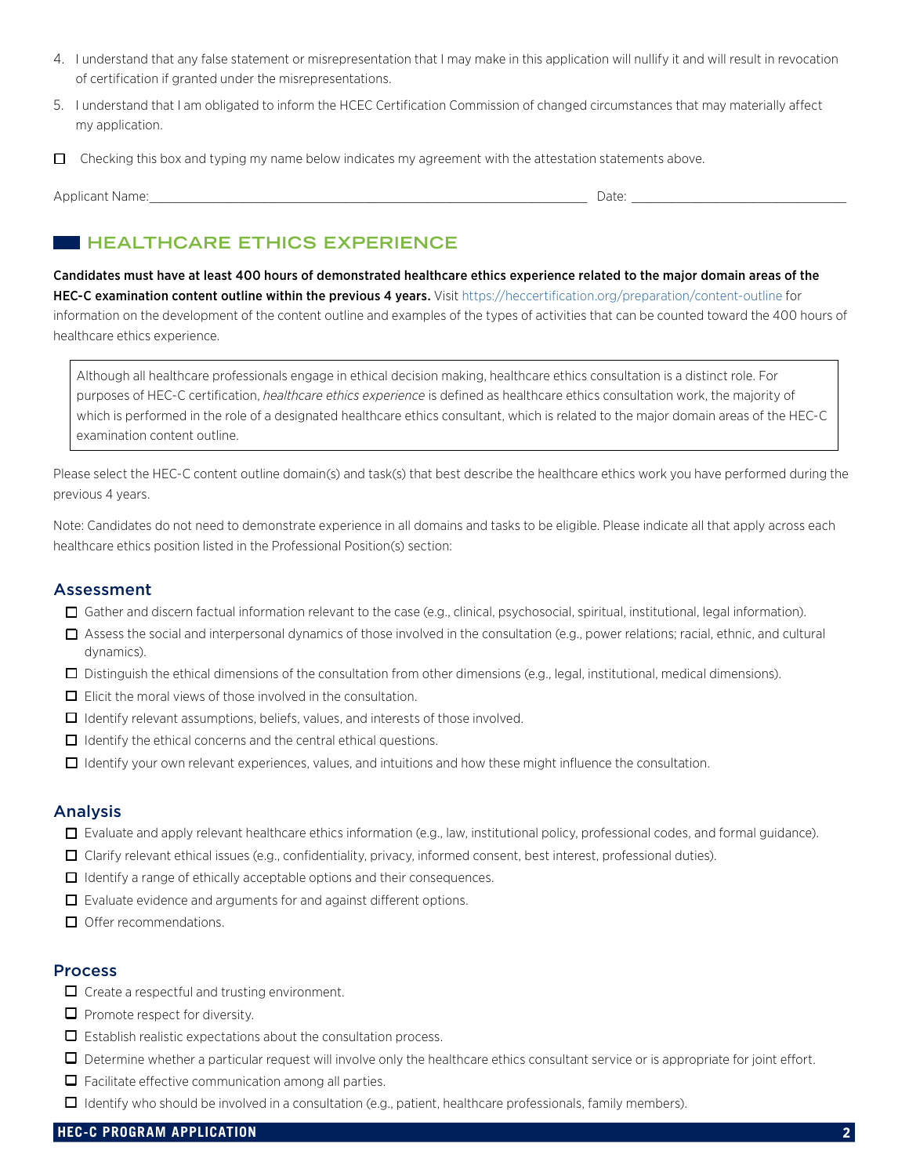- 4. I understand that any false statement or misrepresentation that I may make in this application will nullify it and will result in revocation of certification if granted under the misrepresentations.
- 5. I understand that I am obligated to inform the HCEC Certification Commission of changed circumstances that may materially affect my application.
- $\Box$  Checking this box and typing my name below indicates my agreement with the attestation statements above.

Applicant Name:\_\_\_\_\_\_\_\_\_\_\_\_\_\_\_\_\_\_\_\_\_\_\_\_\_\_\_\_\_\_\_\_\_\_\_\_\_\_\_\_\_\_\_\_\_\_\_\_\_\_\_\_\_\_\_\_\_\_\_ Date: \_\_\_\_\_\_\_\_\_\_\_\_\_\_\_\_\_\_\_\_\_\_\_\_\_\_\_\_\_

# **HEALTHCARE ETHICS EXPERIENCE**

Candidates must have at least 400 hours of demonstrated healthcare ethics experience related to the major domain areas of the HEC-C examination content outline within the previous 4 years. Visit<https://heccertification.org/preparation/content-outline> for information on the development of the content outline and examples of the types of activities that can be counted toward the 400 hours of healthcare ethics experience.

Although all healthcare professionals engage in ethical decision making, healthcare ethics consultation is a distinct role. For purposes of HEC-C certification, *healthcare ethics experience* is defined as healthcare ethics consultation work, the majority of which is performed in the role of a designated healthcare ethics consultant, which is related to the major domain areas of the HEC-C examination content outline.

Please select the HEC-C content outline domain(s) and task(s) that best describe the healthcare ethics work you have performed during the previous 4 years.

Note: Candidates do not need to demonstrate experience in all domains and tasks to be eligible. Please indicate all that apply across each healthcare ethics position listed in the Professional Position(s) section:

### Assessment

- Gather and discern factual information relevant to the case (e.g., clinical, psychosocial, spiritual, institutional, legal information).
- $\Box$  Assess the social and interpersonal dynamics of those involved in the consultation (e.g., power relations; racial, ethnic, and cultural dynamics).
- $\square$  Distinguish the ethical dimensions of the consultation from other dimensions (e.g., legal, institutional, medical dimensions).
- $\Box$  Elicit the moral views of those involved in the consultation.
- $\Box$  Identify relevant assumptions, beliefs, values, and interests of those involved.
- $\Box$  Identify the ethical concerns and the central ethical questions.
- $\Box$  Identify your own relevant experiences, values, and intuitions and how these might influence the consultation.

#### Analysis

- Evaluate and apply relevant healthcare ethics information (e.g., law, institutional policy, professional codes, and formal guidance).
- Clarify relevant ethical issues (e.g., confidentiality, privacy, informed consent, best interest, professional duties).
- $\Box$  Identify a range of ethically acceptable options and their consequences.
- $\Box$  Evaluate evidence and arguments for and against different options.
- $\Box$  Offer recommendations.

### **Process**

- $\Box$  Create a respectful and trusting environment.
- $\Box$  Promote respect for diversity.
- $\Box$  Establish realistic expectations about the consultation process.
- $\Box$  Determine whether a particular request will involve only the healthcare ethics consultant service or is appropriate for joint effort.
- $\Box$  Facilitate effective communication among all parties.
- $\Box$  Identify who should be involved in a consultation (e.g., patient, healthcare professionals, family members).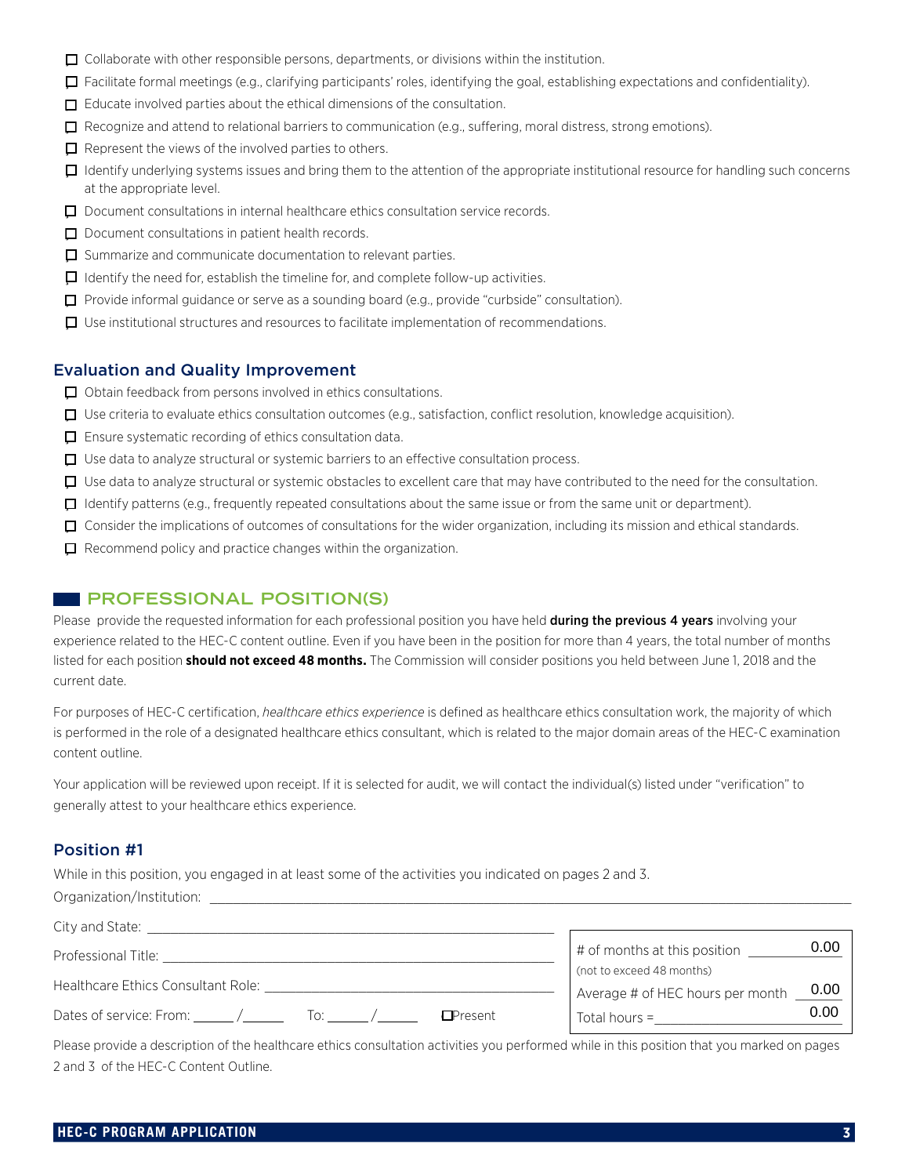- $\Box$  Collaborate with other responsible persons, departments, or divisions within the institution.
- $\Box$  Facilitate formal meetings (e.g., clarifying participants' roles, identifying the goal, establishing expectations and confidentiality).
- $\Box$  Educate involved parties about the ethical dimensions of the consultation.
- Recognize and attend to relational barriers to communication (e.g., suffering, moral distress, strong emotions).
- $\Box$  Represent the views of the involved parties to others.
- $\Box$  Identify underlying systems issues and bring them to the attention of the appropriate institutional resource for handling such concerns at the appropriate level.
- Document consultations in internal healthcare ethics consultation service records.
- $\Box$  Document consultations in patient health records.
- $\Box$  Summarize and communicate documentation to relevant parties.
- $\Box$  Identify the need for, establish the timeline for, and complete follow-up activities.
- Provide informal guidance or serve as a sounding board (e.g., provide "curbside" consultation).
- $\Box$  Use institutional structures and resources to facilitate implementation of recommendations.

### Evaluation and Quality Improvement

- $\Box$  Obtain feedback from persons involved in ethics consultations.
- $\Box$  Use criteria to evaluate ethics consultation outcomes (e.g., satisfaction, conflict resolution, knowledge acquisition).
- $\Box$  Ensure systematic recording of ethics consultation data.
- $\Box$  Use data to analyze structural or systemic barriers to an effective consultation process.
- Use data to analyze structural or systemic obstacles to excellent care that may have contributed to the need for the consultation.
- I Identify patterns (e.g., frequently repeated consultations about the same issue or from the same unit or department).
- Consider the implications of outcomes of consultations for the wider organization, including its mission and ethical standards.
- $\Box$  Recommend policy and practice changes within the organization.

## **PROFESSIONAL POSITION(S)**

Please provide the requested information for each professional position you have held during the previous 4 years involving your experience related to the HEC-C content outline. Even if you have been in the position for more than 4 years, the total number of months listed for each position **should not exceed 48 months.** The Commission will consider positions you held between June 1, 2018 and the current date.

For purposes of HEC-C certification, *healthcare ethics experience* is defined as healthcare ethics consultation work, the majority of which is performed in the role of a designated healthcare ethics consultant, which is related to the major domain areas of the HEC-C examination content outline.

Your application will be reviewed upon receipt. If it is selected for audit, we will contact the individual(s) listed under "verification" to generally attest to your healthcare ethics experience.

## Position #1

While in this position, you engaged in at least some of the activities you indicated on pages 2 and 3. Organization/Institution:

| City and State:                                                 |                                                               |      |
|-----------------------------------------------------------------|---------------------------------------------------------------|------|
| Professional Title:                                             | # of months at this position                                  | 0.00 |
| Healthcare Ethics Consultant Role:                              | (not to exceed 48 months)<br>Average # of HEC hours per month | 0.00 |
| Dates of service: From: $\angle$<br><b>Present</b><br><u>ါဂ</u> | Total hours $=$                                               | 0.00 |

Please provide a description of the healthcare ethics consultation activities you performed while in this position that you marked on pages 2 and 3 of the HEC-C Content Outline.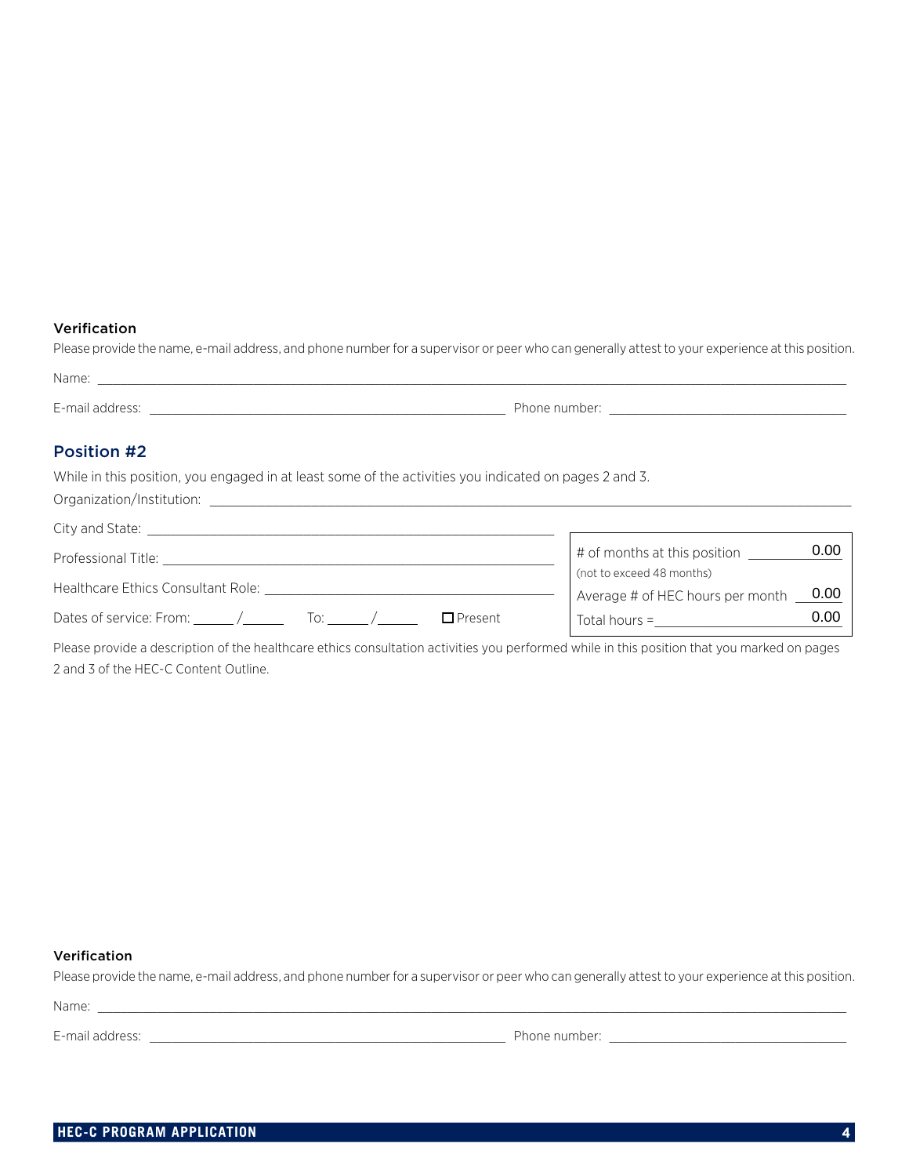### Verification

| Please provide the name, e-mail address, and phone number for a supervisor or peer who can generally attest to your experience at this position. |               |
|--------------------------------------------------------------------------------------------------------------------------------------------------|---------------|
| Name:                                                                                                                                            |               |
| E-mail address:                                                                                                                                  | Phone number: |

## Position #2

While in this position, you engaged in at least some of the activities you indicated on pages 2 and 3.

Organization/Institution: \_\_\_\_\_\_\_\_\_\_\_\_\_\_\_\_\_\_\_\_\_\_\_\_\_\_\_\_\_\_\_\_\_\_\_\_\_\_\_\_\_\_\_\_\_\_\_\_\_\_\_\_\_\_\_\_\_\_\_\_\_\_\_\_\_\_\_\_\_\_\_\_\_\_\_\_\_\_\_\_\_\_

| City and State:                                           |                                                           |      |
|-----------------------------------------------------------|-----------------------------------------------------------|------|
| Professional Title:                                       | # of months at this position<br>(not to exceed 48 months) | 0.00 |
| Healthcare Ethics Consultant Role:                        | Average # of HEC hours per month                          | 0.00 |
| Dates of service: From: $\angle$<br>$\Box$ Present<br>ിറ: | Total hours $=$                                           | 0.00 |

Please provide a description of the healthcare ethics consultation activities you performed while in this position that you marked on pages 2 and 3 of the HEC-C Content Outline.

### Verification

Please provide the name, e-mail address, and phone number for a supervisor or peer who can generally attest to your experience at this position.

Name: \_\_\_\_\_\_\_\_\_\_\_\_\_\_\_\_\_\_\_\_\_\_\_\_\_\_\_\_\_\_\_\_\_\_\_\_\_\_\_\_\_\_\_\_\_\_\_\_\_\_\_\_\_\_\_\_\_\_\_\_\_\_\_\_\_\_\_\_\_\_\_\_\_\_\_\_\_\_\_\_\_\_\_\_\_\_\_\_\_\_\_\_\_\_\_\_\_\_\_\_\_

E-mail address: \_\_\_\_\_\_\_\_\_\_\_\_\_\_\_\_\_\_\_\_\_\_\_\_\_\_\_\_\_\_\_\_\_\_\_\_\_\_\_\_\_\_\_\_\_\_\_\_ Phone number: \_\_\_\_\_\_\_\_\_\_\_\_\_\_\_\_\_\_\_\_\_\_\_\_\_\_\_\_\_\_\_\_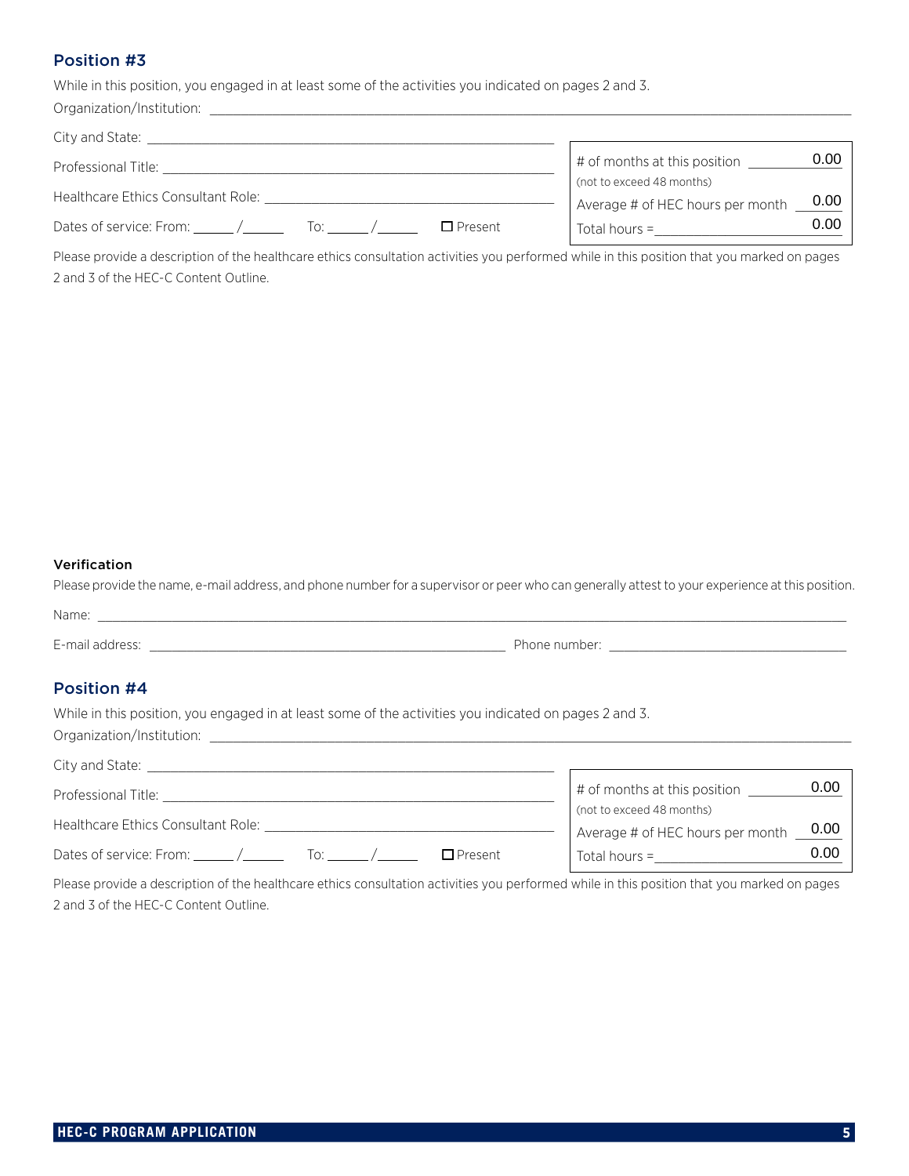# Position #3

While in this position, you engaged in at least some of the activities you indicated on pages 2 and 3.

| Organization/Institution:                              |                                                           |      |
|--------------------------------------------------------|-----------------------------------------------------------|------|
| City and State:                                        |                                                           |      |
| Professional Title:                                    | # of months at this position<br>(not to exceed 48 months) | 0.00 |
| Healthcare Ethics Consultant Role:                     | Average # of HEC hours per month                          | 0.00 |
| Dates of service: From: /<br>$\Box$ Present<br>To: Top | $Total hours =$                                           | 0.00 |

#### Verification

| Name:           |              |
|-----------------|--------------|
|                 |              |
| E-mail address: | Phone number |

### Position #4

|                                                                                                                                                                                                                                | 0.00<br># of months at this position                                  |
|--------------------------------------------------------------------------------------------------------------------------------------------------------------------------------------------------------------------------------|-----------------------------------------------------------------------|
|                                                                                                                                                                                                                                | (not to exceed 48 months)<br>0.00<br>Average # of HEC hours per month |
| Dates of service: From: $\angle$ / To: $\angle$ To: $\angle$ / $\Box$ Present                                                                                                                                                  | 0.00<br>Total hours =                                                 |
| Please provide a description of the healthcare ethics consultation activities you performed while in this position that you marked on pages<br>2 and 3 of the HEC-C Content Outline.                                           |                                                                       |
| Verification<br>Please provide the name, e-mail address, and phone number for a supervisor or peer who can generally attest to your experience at this positior                                                                |                                                                       |
|                                                                                                                                                                                                                                |                                                                       |
| E-mail address: example and the set of the set of the set of the set of the set of the set of the set of the set of the set of the set of the set of the set of the set of the set of the set of the set of the set of the set |                                                                       |
| <b>Position #4</b>                                                                                                                                                                                                             |                                                                       |
| While in this position, you engaged in at least some of the activities you indicated on pages 2 and 3.                                                                                                                         |                                                                       |
|                                                                                                                                                                                                                                |                                                                       |
|                                                                                                                                                                                                                                | 0.00<br># of months at this position<br>(not to exceed 48 months)     |
|                                                                                                                                                                                                                                | 0.00<br>Average # of HEC hours per month                              |
| Dates of service: From: $\angle$ / To: $\angle$ /<br>$\Box$ Present                                                                                                                                                            | 0.00<br>Total hours = $\frac{1}{2}$                                   |

Please provide a description of the healthcare ethics consultation activities you performed while in this position that you marked on pages 2 and 3 of the HEC-C Content Outline.